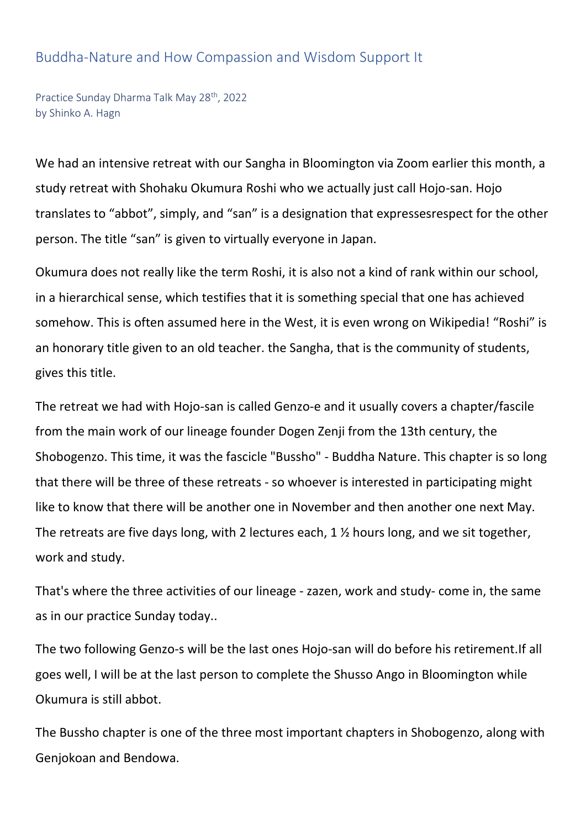## Buddha-Nature and How Compassion and Wisdom Support It

Practice Sunday Dharma Talk May 28<sup>th</sup>, 2022 by Shinko A. Hagn

We had an intensive retreat with our Sangha in Bloomington via Zoom earlier this month, a study retreat with Shohaku Okumura Roshi who we actually just call Hojo-san. Hojo translates to "abbot", simply, and "san" is a designation that expressesrespect for the other person. The title "san" is given to virtually everyone in Japan.

Okumura does not really like the term Roshi, it is also not a kind of rank within our school, in a hierarchical sense, which testifies that it is something special that one has achieved somehow. This is often assumed here in the West, it is even wrong on Wikipedia! "Roshi" is an honorary title given to an old teacher. the Sangha, that is the community of students, gives this title.

The retreat we had with Hojo-san is called Genzo-e and it usually covers a chapter/fascile from the main work of our lineage founder Dogen Zenji from the 13th century, the Shobogenzo. This time, it was the fascicle "Bussho" - Buddha Nature. This chapter is so long that there will be three of these retreats - so whoever is interested in participating might like to know that there will be another one in November and then another one next May. The retreats are five days long, with 2 lectures each, 1 ½ hours long, and we sit together, work and study.

That's where the three activities of our lineage - zazen, work and study- come in, the same as in our practice Sunday today..

The two following Genzo-s will be the last ones Hojo-san will do before his retirement.If all goes well, I will be at the last person to complete the Shusso Ango in Bloomington while Okumura is still abbot.

The Bussho chapter is one of the three most important chapters in Shobogenzo, along with Genjokoan and Bendowa.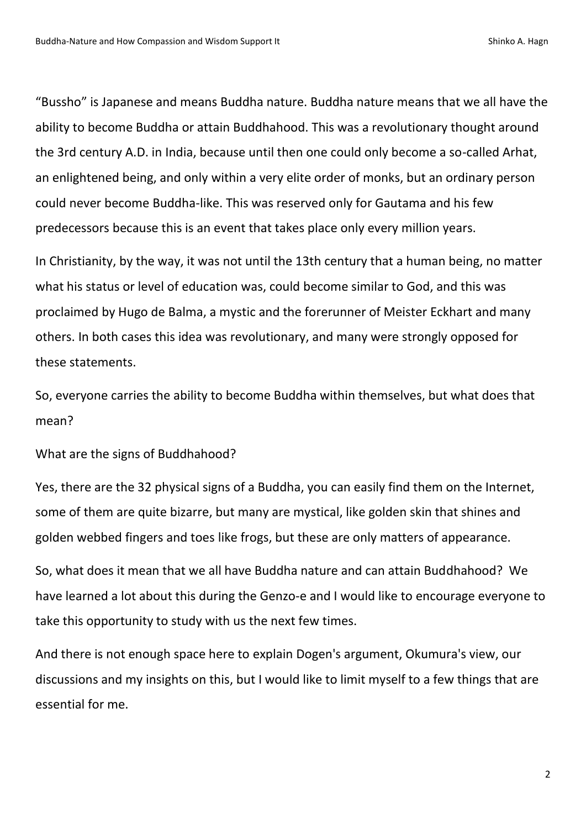"Bussho" is Japanese and means Buddha nature. Buddha nature means that we all have the ability to become Buddha or attain Buddhahood. This was a revolutionary thought around the 3rd century A.D. in India, because until then one could only become a so-called Arhat, an enlightened being, and only within a very elite order of monks, but an ordinary person could never become Buddha-like. This was reserved only for Gautama and his few predecessors because this is an event that takes place only every million years.

In Christianity, by the way, it was not until the 13th century that a human being, no matter what his status or level of education was, could become similar to God, and this was proclaimed by Hugo de Balma, a mystic and the forerunner of Meister Eckhart and many others. In both cases this idea was revolutionary, and many were strongly opposed for these statements.

So, everyone carries the ability to become Buddha within themselves, but what does that mean?

What are the signs of Buddhahood?

Yes, there are the 32 physical signs of a Buddha, you can easily find them on the Internet, some of them are quite bizarre, but many are mystical, like golden skin that shines and golden webbed fingers and toes like frogs, but these are only matters of appearance.

So, what does it mean that we all have Buddha nature and can attain Buddhahood? We have learned a lot about this during the Genzo-e and I would like to encourage everyone to take this opportunity to study with us the next few times.

And there is not enough space here to explain Dogen's argument, Okumura's view, our discussions and my insights on this, but I would like to limit myself to a few things that are essential for me.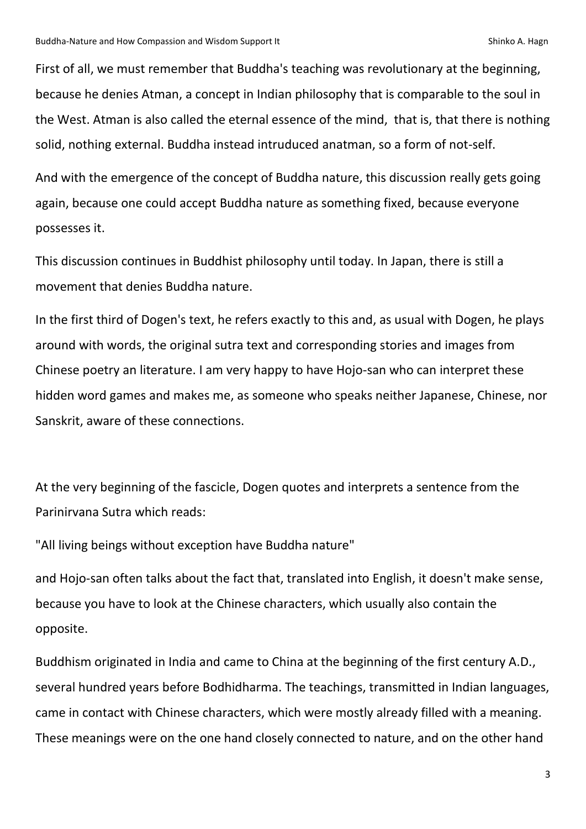First of all, we must remember that Buddha's teaching was revolutionary at the beginning, because he denies Atman, a concept in Indian philosophy that is comparable to the soul in the West. Atman is also called the eternal essence of the mind, that is, that there is nothing solid, nothing external. Buddha instead intruduced anatman, so a form of not-self.

And with the emergence of the concept of Buddha nature, this discussion really gets going again, because one could accept Buddha nature as something fixed, because everyone possesses it.

This discussion continues in Buddhist philosophy until today. In Japan, there is still a movement that denies Buddha nature.

In the first third of Dogen's text, he refers exactly to this and, as usual with Dogen, he plays around with words, the original sutra text and corresponding stories and images from Chinese poetry an literature. I am very happy to have Hojo-san who can interpret these hidden word games and makes me, as someone who speaks neither Japanese, Chinese, nor Sanskrit, aware of these connections.

At the very beginning of the fascicle, Dogen quotes and interprets a sentence from the Parinirvana Sutra which reads:

"All living beings without exception have Buddha nature"

and Hojo-san often talks about the fact that, translated into English, it doesn't make sense, because you have to look at the Chinese characters, which usually also contain the opposite.

Buddhism originated in India and came to China at the beginning of the first century A.D., several hundred years before Bodhidharma. The teachings, transmitted in Indian languages, came in contact with Chinese characters, which were mostly already filled with a meaning. These meanings were on the one hand closely connected to nature, and on the other hand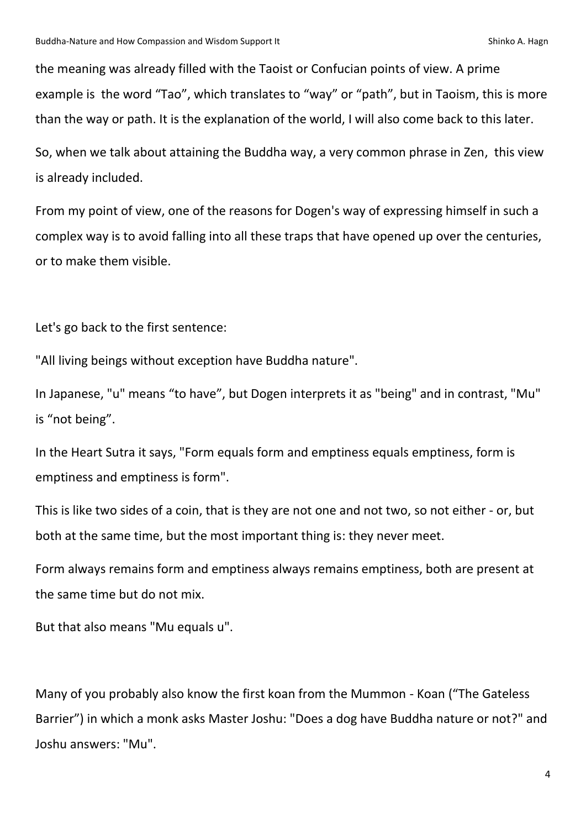the meaning was already filled with the Taoist or Confucian points of view. A prime example is the word "Tao", which translates to "way" or "path", but in Taoism, this is more than the way or path. It is the explanation of the world, I will also come back to this later.

So, when we talk about attaining the Buddha way, a very common phrase in Zen, this view is already included.

From my point of view, one of the reasons for Dogen's way of expressing himself in such a complex way is to avoid falling into all these traps that have opened up over the centuries, or to make them visible.

Let's go back to the first sentence:

"All living beings without exception have Buddha nature".

In Japanese, "u" means "to have", but Dogen interprets it as "being" and in contrast, "Mu" is "not being".

In the Heart Sutra it says, "Form equals form and emptiness equals emptiness, form is emptiness and emptiness is form".

This is like two sides of a coin, that is they are not one and not two, so not either - or, but both at the same time, but the most important thing is: they never meet.

Form always remains form and emptiness always remains emptiness, both are present at the same time but do not mix.

But that also means "Mu equals u".

Many of you probably also know the first koan from the Mummon - Koan ("The Gateless Barrier") in which a monk asks Master Joshu: "Does a dog have Buddha nature or not?" and Joshu answers: "Mu".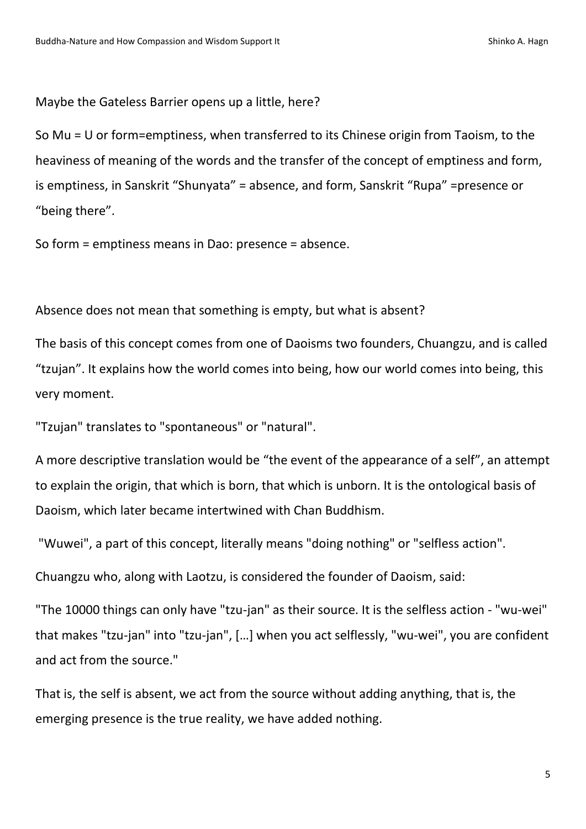Maybe the Gateless Barrier opens up a little, here?

So Mu = U or form=emptiness, when transferred to its Chinese origin from Taoism, to the heaviness of meaning of the words and the transfer of the concept of emptiness and form, is emptiness, in Sanskrit "Shunyata" = absence, and form, Sanskrit "Rupa" =presence or "being there".

So form = emptiness means in Dao: presence = absence.

Absence does not mean that something is empty, but what is absent?

The basis of this concept comes from one of Daoisms two founders, Chuangzu, and is called "tzujan". It explains how the world comes into being, how our world comes into being, this very moment.

"Tzujan" translates to "spontaneous" or "natural".

A more descriptive translation would be "the event of the appearance of a self", an attempt to explain the origin, that which is born, that which is unborn. It is the ontological basis of Daoism, which later became intertwined with Chan Buddhism.

"Wuwei", a part of this concept, literally means "doing nothing" or "selfless action".

Chuangzu who, along with Laotzu, is considered the founder of Daoism, said:

"The 10000 things can only have "tzu-jan" as their source. It is the selfless action - "wu-wei" that makes "tzu-jan" into "tzu-jan", […] when you act selflessly, "wu-wei", you are confident and act from the source."

That is, the self is absent, we act from the source without adding anything, that is, the emerging presence is the true reality, we have added nothing.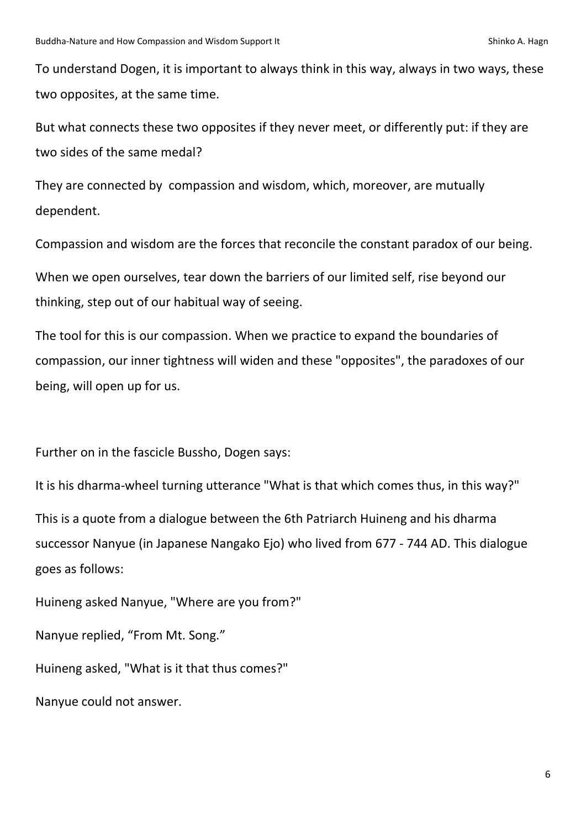To understand Dogen, it is important to always think in this way, always in two ways, these two opposites, at the same time.

But what connects these two opposites if they never meet, or differently put: if they are two sides of the same medal?

They are connected by compassion and wisdom, which, moreover, are mutually dependent.

Compassion and wisdom are the forces that reconcile the constant paradox of our being.

When we open ourselves, tear down the barriers of our limited self, rise beyond our thinking, step out of our habitual way of seeing.

The tool for this is our compassion. When we practice to expand the boundaries of compassion, our inner tightness will widen and these "opposites", the paradoxes of our being, will open up for us.

Further on in the fascicle Bussho, Dogen says:

It is his dharma-wheel turning utterance "What is that which comes thus, in this way?" This is a quote from a dialogue between the 6th Patriarch Huineng and his dharma successor Nanyue (in Japanese Nangako Ejo) who lived from 677 - 744 AD. This dialogue goes as follows:

Huineng asked Nanyue, "Where are you from?"

Nanyue replied, "From Mt. Song."

Huineng asked, "What is it that thus comes?"

Nanyue could not answer.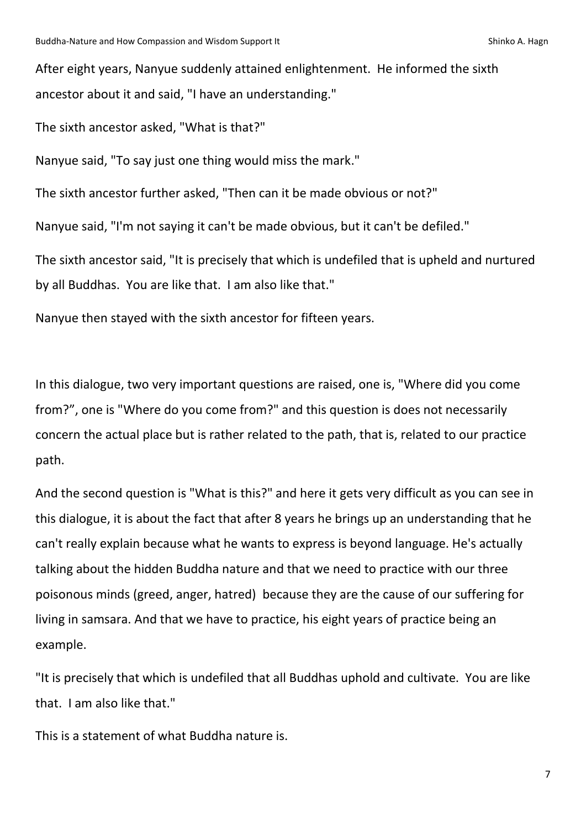After eight years, Nanyue suddenly attained enlightenment. He informed the sixth ancestor about it and said, "I have an understanding."

The sixth ancestor asked, "What is that?"

Nanyue said, "To say just one thing would miss the mark."

The sixth ancestor further asked, "Then can it be made obvious or not?"

Nanyue said, "I'm not saying it can't be made obvious, but it can't be defiled."

The sixth ancestor said, "It is precisely that which is undefiled that is upheld and nurtured by all Buddhas. You are like that. I am also like that."

Nanyue then stayed with the sixth ancestor for fifteen years.

In this dialogue, two very important questions are raised, one is, "Where did you come from?", one is "Where do you come from?" and this question is does not necessarily concern the actual place but is rather related to the path, that is, related to our practice path.

And the second question is "What is this?" and here it gets very difficult as you can see in this dialogue, it is about the fact that after 8 years he brings up an understanding that he can't really explain because what he wants to express is beyond language. He's actually talking about the hidden Buddha nature and that we need to practice with our three poisonous minds (greed, anger, hatred) because they are the cause of our suffering for living in samsara. And that we have to practice, his eight years of practice being an example.

"It is precisely that which is undefiled that all Buddhas uphold and cultivate. You are like that. I am also like that."

This is a statement of what Buddha nature is.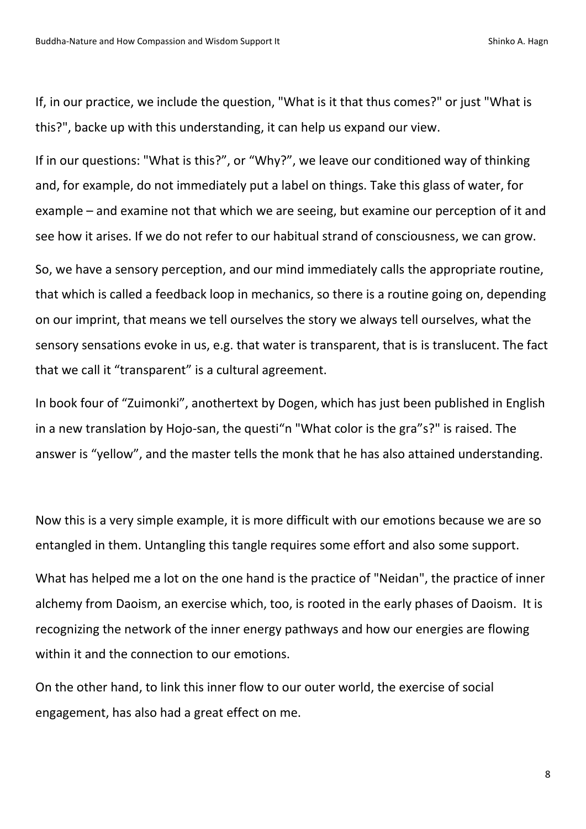If, in our practice, we include the question, "What is it that thus comes?" or just "What is this?", backe up with this understanding, it can help us expand our view.

If in our questions: "What is this?", or "Why?", we leave our conditioned way of thinking and, for example, do not immediately put a label on things. Take this glass of water, for example – and examine not that which we are seeing, but examine our perception of it and see how it arises. If we do not refer to our habitual strand of consciousness, we can grow.

So, we have a sensory perception, and our mind immediately calls the appropriate routine, that which is called a feedback loop in mechanics, so there is a routine going on, depending on our imprint, that means we tell ourselves the story we always tell ourselves, what the sensory sensations evoke in us, e.g. that water is transparent, that is is translucent. The fact that we call it "transparent" is a cultural agreement.

In book four of "Zuimonki", anothertext by Dogen, which has just been published in English in a new translation by Hojo-san, the questi "n "What color is the gra"s?" is raised. The answer is "yellow", and the master tells the monk that he has also attained understanding.

Now this is a very simple example, it is more difficult with our emotions because we are so entangled in them. Untangling this tangle requires some effort and also some support.

What has helped me a lot on the one hand is the practice of "Neidan", the practice of inner alchemy from Daoism, an exercise which, too, is rooted in the early phases of Daoism. It is recognizing the network of the inner energy pathways and how our energies are flowing within it and the connection to our emotions.

On the other hand, to link this inner flow to our outer world, the exercise of social engagement, has also had a great effect on me.

8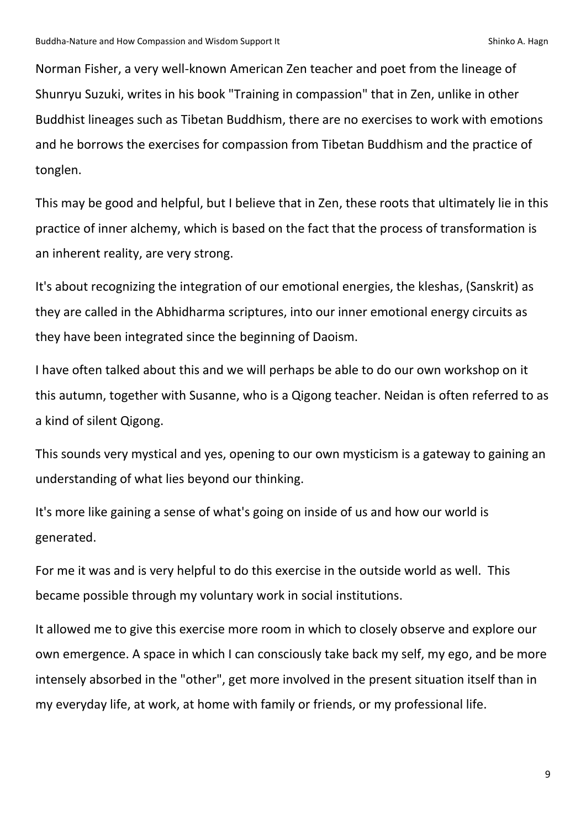Norman Fisher, a very well-known American Zen teacher and poet from the lineage of Shunryu Suzuki, writes in his book "Training in compassion" that in Zen, unlike in other Buddhist lineages such as Tibetan Buddhism, there are no exercises to work with emotions and he borrows the exercises for compassion from Tibetan Buddhism and the practice of tonglen.

This may be good and helpful, but I believe that in Zen, these roots that ultimately lie in this practice of inner alchemy, which is based on the fact that the process of transformation is an inherent reality, are very strong.

It's about recognizing the integration of our emotional energies, the kleshas, (Sanskrit) as they are called in the Abhidharma scriptures, into our inner emotional energy circuits as they have been integrated since the beginning of Daoism.

I have often talked about this and we will perhaps be able to do our own workshop on it this autumn, together with Susanne, who is a Qigong teacher. Neidan is often referred to as a kind of silent Qigong.

This sounds very mystical and yes, opening to our own mysticism is a gateway to gaining an understanding of what lies beyond our thinking.

It's more like gaining a sense of what's going on inside of us and how our world is generated.

For me it was and is very helpful to do this exercise in the outside world as well. This became possible through my voluntary work in social institutions.

It allowed me to give this exercise more room in which to closely observe and explore our own emergence. A space in which I can consciously take back my self, my ego, and be more intensely absorbed in the "other", get more involved in the present situation itself than in my everyday life, at work, at home with family or friends, or my professional life.